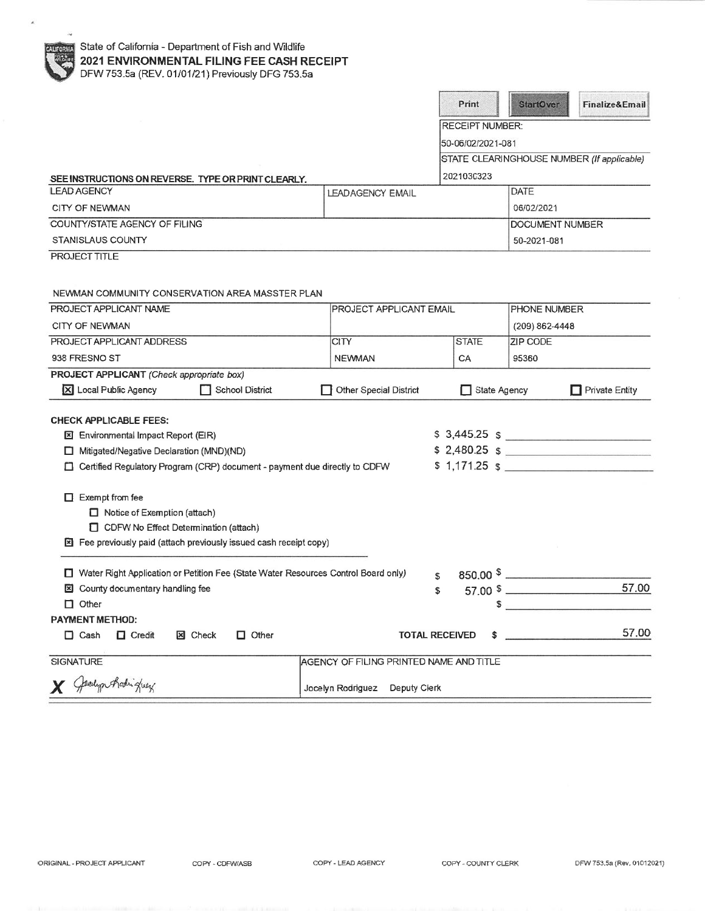|                                                                                                                                                                     |                                         |    | Print                  | <b>StartOver</b>     | Finalize&Email                             |
|---------------------------------------------------------------------------------------------------------------------------------------------------------------------|-----------------------------------------|----|------------------------|----------------------|--------------------------------------------|
|                                                                                                                                                                     |                                         |    | <b>RECEIPT NUMBER:</b> |                      |                                            |
|                                                                                                                                                                     |                                         |    | 50-06/02/2021-081      |                      |                                            |
|                                                                                                                                                                     |                                         |    |                        |                      | STATE CLEARINGHOUSE NUMBER (If applicable) |
| SEE INSTRUCTIONS ON REVERSE. TYPE OR PRINT CLEARLY.                                                                                                                 |                                         |    | 2021030323             |                      |                                            |
| <b>LEAD AGENCY</b>                                                                                                                                                  | <b>LEADAGENCY EMAIL</b>                 |    |                        | <b>DATE</b>          |                                            |
| <b>CITY OF NEWMAN</b>                                                                                                                                               |                                         |    |                        | 06/02/2021           |                                            |
| COUNTY/STATE AGENCY OF FILING                                                                                                                                       |                                         |    |                        | DOCUMENT NUMBER      |                                            |
| <b>STANISLAUS COUNTY</b>                                                                                                                                            |                                         |    |                        | 50-2021-081          |                                            |
| <b>PROJECT TITLE</b>                                                                                                                                                |                                         |    |                        |                      |                                            |
| NEWMAN COMMUNITY CONSERVATION AREA MASSTER PLAN                                                                                                                     |                                         |    |                        |                      |                                            |
| PROJECT APPLICANT NAME                                                                                                                                              | PROJECT APPLICANT EMAIL                 |    |                        | PHONE NUMBER         |                                            |
| <b>CITY OF NEWMAN</b>                                                                                                                                               |                                         |    |                        | (209) 862-4448       |                                            |
| PROJECT APPLICANT ADDRESS                                                                                                                                           | <b>CITY</b>                             |    | <b>STATE</b>           | <b>ZIP CODE</b>      |                                            |
| 938 FRESNO ST                                                                                                                                                       | <b>NEWMAN</b>                           |    | CA                     | 95360                |                                            |
| PROJECT APPLICANT (Check appropriate box)<br>X Local Public Agency<br>School District                                                                               | <b>Other Special District</b>           |    | State Agency           |                      | Private Entity                             |
| <b>CHECK APPLICABLE FEES:</b>                                                                                                                                       |                                         |    |                        |                      |                                            |
| <b>El Environmental Impact Report (EIR)</b>                                                                                                                         |                                         |    |                        |                      | $$3,445.25$ $$$                            |
| Mitigated/Negative Declaration (MND)(ND)                                                                                                                            |                                         |    |                        |                      | $$2,480.25$ \$<br>$$1,171.25$ $$$          |
| Certified Regulatory Program (CRP) document - payment due directly to CDFW                                                                                          |                                         |    |                        |                      |                                            |
| $\Box$ Exempt from fee<br>Notice of Exemption (attach)<br>CDFW No Effect Determination (attach)<br>Fee previously paid (attach previously issued cash receipt copy) |                                         |    |                        |                      |                                            |
| Water Right Application or Petition Fee (State Water Resources Control Board only)<br><b>図</b> County documentary handling fee                                      |                                         | £. |                        | 850.00 $\frac{1}{2}$ | 57,00                                      |
| $\Box$ Other                                                                                                                                                        |                                         | \$ | 57.00 \$<br>\$         |                      |                                            |
| <b>PAYMENT METHOD:</b>                                                                                                                                              |                                         |    |                        |                      |                                            |
| $\Box$ Credit<br>$\Box$ Other<br>$\Box$ Cash<br><b>E</b> Check                                                                                                      | <b>TOTAL RECEIVED</b>                   |    | \$                     |                      | 57.00                                      |
|                                                                                                                                                                     |                                         |    |                        |                      |                                            |
| <b>SIGNATURE</b>                                                                                                                                                    | AGENCY OF FILING PRINTED NAME AND TITLE |    |                        |                      |                                            |
| Jedyn Rodriguez                                                                                                                                                     | Jocelyn Rodriguez Deputy Clerk          |    |                        |                      |                                            |

COPY - CDFW/ASB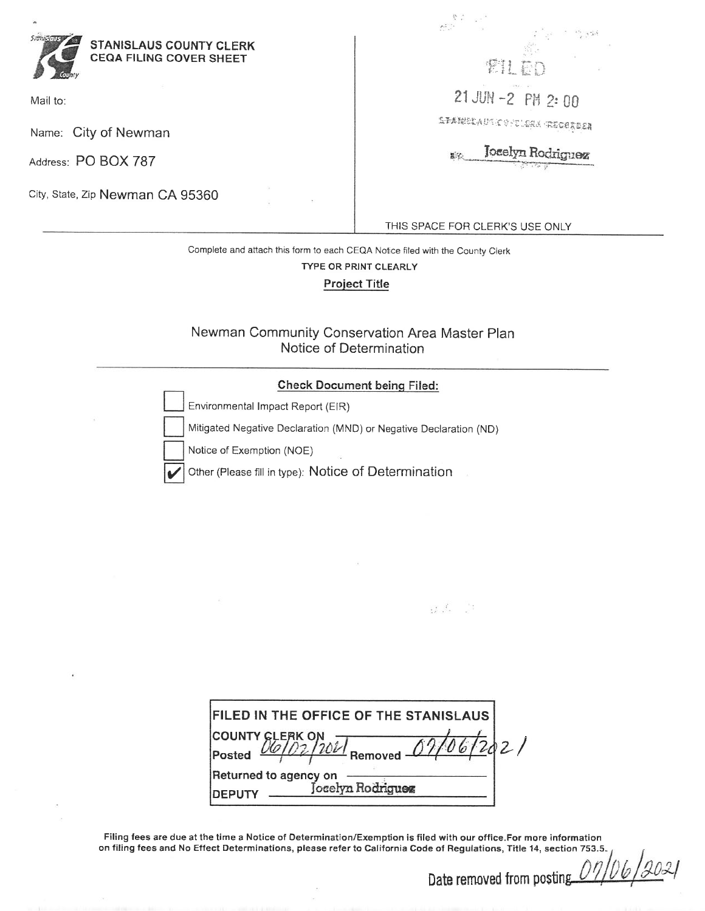

Mail to:

Name: City of Newman

Address: PO BOX 787

City, State, Zip Newman CA 95360

變打 21 JUN -2 PM 2:00 AFARKEAUTORTEAK GEOGREER

**Joselyn Rodriguez** 联议

THIS SPACE FOR CLERK'S USE ONLY

 $\label{eq:2.1} \begin{array}{ccc} \frac{1}{2} & \frac{1}{2} & \frac{1}{2} & \frac{1}{2} \\ \frac{1}{2} & \frac{1}{2} & \frac{1}{2} & \frac{1}{2} \\ \frac{1}{2} & \frac{1}{2} & \frac{1}{2} & \frac{1}{2} \\ \frac{1}{2} & \frac{1}{2} & \frac{1}{2} & \frac{1}{2} \\ \frac{1}{2} & \frac{1}{2} & \frac{1}{2} & \frac{1}{2} \\ \frac{1}{2} & \frac{1}{2} & \frac{1}{2} & \frac{1}{2} \\ \frac{1}{2} & \frac{1$ 

 $\mathbb{R}^2$ 

Complete and attach this form to each CEQA Notice filed with the County Clerk TYPE OR PRINT CLEARLY **Project Title** 

## Newman Community Conservation Area Master Plan Notice of Determination

## **Check Document being Filed:**

|                           | Environmental Impact Report (EIR)                                 |
|---------------------------|-------------------------------------------------------------------|
|                           | Mitigated Negative Declaration (MND) or Negative Declaration (ND) |
| Notice of Exemption (NOE) |                                                                   |
|                           | Other (Please fill in type): Notice of Determination              |

Filing fees are due at the time a Notice of Determination/Exemption is filed with our office.For more information on filing fees and No Effect Determinations, please refer to California Code of Regulations, Title 14, section 753.5.

Date removed from posting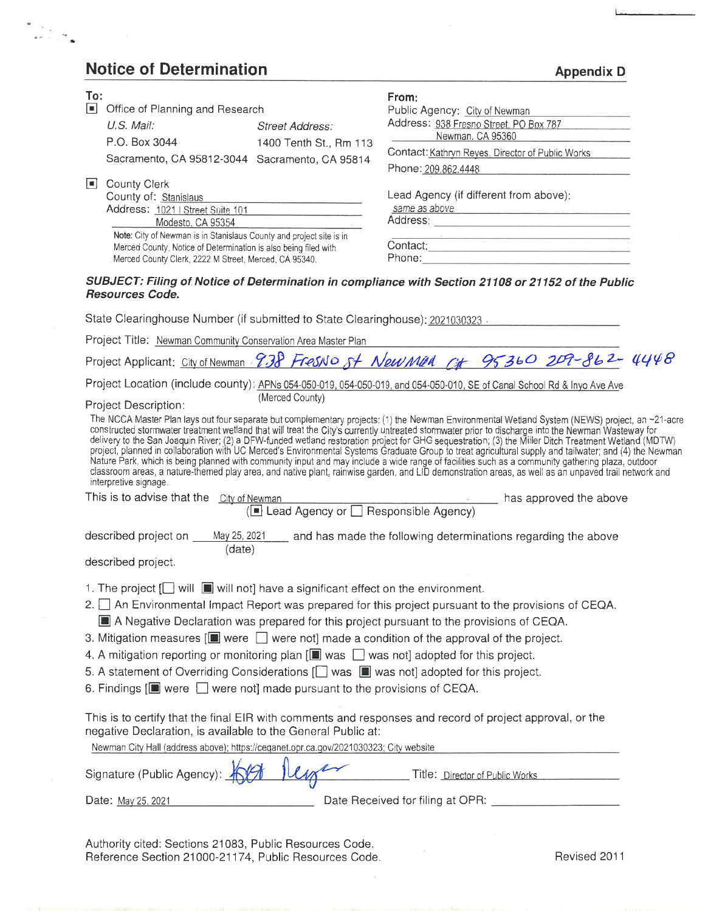## **Notice of Determination**

 $\frac{1}{\sqrt{2}}\frac{1}{\sqrt{2}}$ 

| To:                                                                                                                                                   |                        | From:                                                                                                                                                                                                                                                                                                                                                                                                                                                                                                                                                                                                                                                                                                                                                                                                                                                                                                                              |  |  |
|-------------------------------------------------------------------------------------------------------------------------------------------------------|------------------------|------------------------------------------------------------------------------------------------------------------------------------------------------------------------------------------------------------------------------------------------------------------------------------------------------------------------------------------------------------------------------------------------------------------------------------------------------------------------------------------------------------------------------------------------------------------------------------------------------------------------------------------------------------------------------------------------------------------------------------------------------------------------------------------------------------------------------------------------------------------------------------------------------------------------------------|--|--|
| O.<br>Office of Planning and Research                                                                                                                 |                        | Public Agency: City of Newman                                                                                                                                                                                                                                                                                                                                                                                                                                                                                                                                                                                                                                                                                                                                                                                                                                                                                                      |  |  |
| U.S. Mail:                                                                                                                                            | Street Address:        | Address: 938 Fresno Street, PO Box 787<br>Newman, CA 95360                                                                                                                                                                                                                                                                                                                                                                                                                                                                                                                                                                                                                                                                                                                                                                                                                                                                         |  |  |
| P.O. Box 3044                                                                                                                                         | 1400 Tenth St., Rm 113 | Contact: Kathryn Reyes. Director of Public Works                                                                                                                                                                                                                                                                                                                                                                                                                                                                                                                                                                                                                                                                                                                                                                                                                                                                                   |  |  |
| Sacramento, CA 95812-3044 Sacramento, CA 95814                                                                                                        |                        | Phone: 209.862.4448                                                                                                                                                                                                                                                                                                                                                                                                                                                                                                                                                                                                                                                                                                                                                                                                                                                                                                                |  |  |
| County Clerk                                                                                                                                          |                        |                                                                                                                                                                                                                                                                                                                                                                                                                                                                                                                                                                                                                                                                                                                                                                                                                                                                                                                                    |  |  |
| County of: Stanislaus                                                                                                                                 |                        | Lead Agency (if different from above):                                                                                                                                                                                                                                                                                                                                                                                                                                                                                                                                                                                                                                                                                                                                                                                                                                                                                             |  |  |
| Address: 1021   Street Suite 101                                                                                                                      |                        | same as above the contract of the contract of the contract of the contract of the contract of the contract of                                                                                                                                                                                                                                                                                                                                                                                                                                                                                                                                                                                                                                                                                                                                                                                                                      |  |  |
| Modesto, CA 95354                                                                                                                                     |                        |                                                                                                                                                                                                                                                                                                                                                                                                                                                                                                                                                                                                                                                                                                                                                                                                                                                                                                                                    |  |  |
| Note: City of Newman is in Stanislaus County and project site is in                                                                                   |                        |                                                                                                                                                                                                                                                                                                                                                                                                                                                                                                                                                                                                                                                                                                                                                                                                                                                                                                                                    |  |  |
| Merced County. Notice of Determination is also being filed with<br>Merced County Clerk, 2222 M Street, Merced, CA 95340.                              |                        | Contact:                                                                                                                                                                                                                                                                                                                                                                                                                                                                                                                                                                                                                                                                                                                                                                                                                                                                                                                           |  |  |
|                                                                                                                                                       |                        |                                                                                                                                                                                                                                                                                                                                                                                                                                                                                                                                                                                                                                                                                                                                                                                                                                                                                                                                    |  |  |
|                                                                                                                                                       |                        | SUBJECT: Filing of Notice of Determination in compliance with Section 21108 or 21152 of the Public                                                                                                                                                                                                                                                                                                                                                                                                                                                                                                                                                                                                                                                                                                                                                                                                                                 |  |  |
| <b>Resources Code.</b>                                                                                                                                |                        |                                                                                                                                                                                                                                                                                                                                                                                                                                                                                                                                                                                                                                                                                                                                                                                                                                                                                                                                    |  |  |
|                                                                                                                                                       |                        | State Clearinghouse Number (if submitted to State Clearinghouse): 2021030323                                                                                                                                                                                                                                                                                                                                                                                                                                                                                                                                                                                                                                                                                                                                                                                                                                                       |  |  |
|                                                                                                                                                       |                        |                                                                                                                                                                                                                                                                                                                                                                                                                                                                                                                                                                                                                                                                                                                                                                                                                                                                                                                                    |  |  |
| Project Title: Newman Community Conservation Area Master Plan                                                                                         |                        |                                                                                                                                                                                                                                                                                                                                                                                                                                                                                                                                                                                                                                                                                                                                                                                                                                                                                                                                    |  |  |
|                                                                                                                                                       |                        | Project Applicant: City of Newman 938 FresNO St New Man Cit 95360 209-862-4448                                                                                                                                                                                                                                                                                                                                                                                                                                                                                                                                                                                                                                                                                                                                                                                                                                                     |  |  |
|                                                                                                                                                       |                        | Project Location (include county): APNs 054-050-019, 054-050-019, and 054-050-010, SE of Canal School Rd & Inyo Ave Ave                                                                                                                                                                                                                                                                                                                                                                                                                                                                                                                                                                                                                                                                                                                                                                                                            |  |  |
| Project Description:                                                                                                                                  | (Merced County)        |                                                                                                                                                                                                                                                                                                                                                                                                                                                                                                                                                                                                                                                                                                                                                                                                                                                                                                                                    |  |  |
| interpretive signage.                                                                                                                                 |                        | The NCCA Master Plan lays out four separate but complementary projects: (1) the Newman Environmental Wetland System (NEWS) project, an -21-acre<br>constructed stormwater treatment wetland that will treat the City's currently untreated stormwater prior to discharge into the Newman Wasteway for<br>delivery to the San Joaquin River; (2) a DFW-funded wetland restoration project for GHG sequestration; (3) the Miller Ditch Treatment Wetland (MDTW)<br>project, planned in collaboration with UC Merced's Environmental Systems Graduate Group to treat agricultural supply and tailwater; and (4) the Newman<br>Nature Park, which is being planned with community input and may include a wide range of facilities such as a community gathering plaza, outdoor<br>classroom areas, a nature-themed play area, and native plant, rainwise garden, and LID demonstration areas, as well as an unpaved trail network and |  |  |
| This is to advise that the City of Newman                                                                                                             |                        |                                                                                                                                                                                                                                                                                                                                                                                                                                                                                                                                                                                                                                                                                                                                                                                                                                                                                                                                    |  |  |
|                                                                                                                                                       |                        | Newman has approved the above ( $\blacksquare$ Lead Agency or $\square$ Responsible Agency)                                                                                                                                                                                                                                                                                                                                                                                                                                                                                                                                                                                                                                                                                                                                                                                                                                        |  |  |
|                                                                                                                                                       |                        |                                                                                                                                                                                                                                                                                                                                                                                                                                                                                                                                                                                                                                                                                                                                                                                                                                                                                                                                    |  |  |
|                                                                                                                                                       |                        | described project on May 25, 2021 and has made the following determinations regarding the above                                                                                                                                                                                                                                                                                                                                                                                                                                                                                                                                                                                                                                                                                                                                                                                                                                    |  |  |
| (date)                                                                                                                                                |                        |                                                                                                                                                                                                                                                                                                                                                                                                                                                                                                                                                                                                                                                                                                                                                                                                                                                                                                                                    |  |  |
| described project.                                                                                                                                    |                        |                                                                                                                                                                                                                                                                                                                                                                                                                                                                                                                                                                                                                                                                                                                                                                                                                                                                                                                                    |  |  |
| 1. The project $[\Box]$ will $[\Box]$ will not] have a significant effect on the environment.                                                         |                        |                                                                                                                                                                                                                                                                                                                                                                                                                                                                                                                                                                                                                                                                                                                                                                                                                                                                                                                                    |  |  |
|                                                                                                                                                       |                        | 2. An Environmental Impact Report was prepared for this project pursuant to the provisions of CEQA.                                                                                                                                                                                                                                                                                                                                                                                                                                                                                                                                                                                                                                                                                                                                                                                                                                |  |  |
|                                                                                                                                                       |                        | A Negative Declaration was prepared for this project pursuant to the provisions of CEQA.                                                                                                                                                                                                                                                                                                                                                                                                                                                                                                                                                                                                                                                                                                                                                                                                                                           |  |  |
|                                                                                                                                                       |                        |                                                                                                                                                                                                                                                                                                                                                                                                                                                                                                                                                                                                                                                                                                                                                                                                                                                                                                                                    |  |  |
|                                                                                                                                                       |                        | 3. Mitigation measures $[\blacksquare]$ were $\Box$ were not] made a condition of the approval of the project.                                                                                                                                                                                                                                                                                                                                                                                                                                                                                                                                                                                                                                                                                                                                                                                                                     |  |  |
| 4. A mitigation reporting or monitoring plan $[\blacksquare$ was $\blacksquare$ was not] adopted for this project.                                    |                        |                                                                                                                                                                                                                                                                                                                                                                                                                                                                                                                                                                                                                                                                                                                                                                                                                                                                                                                                    |  |  |
|                                                                                                                                                       |                        | 5. A statement of Overriding Considerations $\Box$ was $\Box$ was not] adopted for this project.                                                                                                                                                                                                                                                                                                                                                                                                                                                                                                                                                                                                                                                                                                                                                                                                                                   |  |  |
| 6. Findings $[\blacksquare]$ were $\Box$ were not] made pursuant to the provisions of CEQA.                                                           |                        |                                                                                                                                                                                                                                                                                                                                                                                                                                                                                                                                                                                                                                                                                                                                                                                                                                                                                                                                    |  |  |
|                                                                                                                                                       |                        |                                                                                                                                                                                                                                                                                                                                                                                                                                                                                                                                                                                                                                                                                                                                                                                                                                                                                                                                    |  |  |
| negative Declaration, is available to the General Public at:<br>Newman City Hall (address above); https://ceqanet.opr.ca.gov/2021030323; City website |                        | This is to certify that the final EIR with comments and responses and record of project approval, or the                                                                                                                                                                                                                                                                                                                                                                                                                                                                                                                                                                                                                                                                                                                                                                                                                           |  |  |
|                                                                                                                                                       |                        |                                                                                                                                                                                                                                                                                                                                                                                                                                                                                                                                                                                                                                                                                                                                                                                                                                                                                                                                    |  |  |
| Signature (Public Agency):                                                                                                                            |                        | Title: Director of Public Works                                                                                                                                                                                                                                                                                                                                                                                                                                                                                                                                                                                                                                                                                                                                                                                                                                                                                                    |  |  |
| Date: May 25, 2021                                                                                                                                    |                        | Date Received for filing at OPR:                                                                                                                                                                                                                                                                                                                                                                                                                                                                                                                                                                                                                                                                                                                                                                                                                                                                                                   |  |  |

Authority cited: Sections 21083, Public Resources Code.<br>Reference Section 21000-21174, Public Resources Code.

Revised 2011